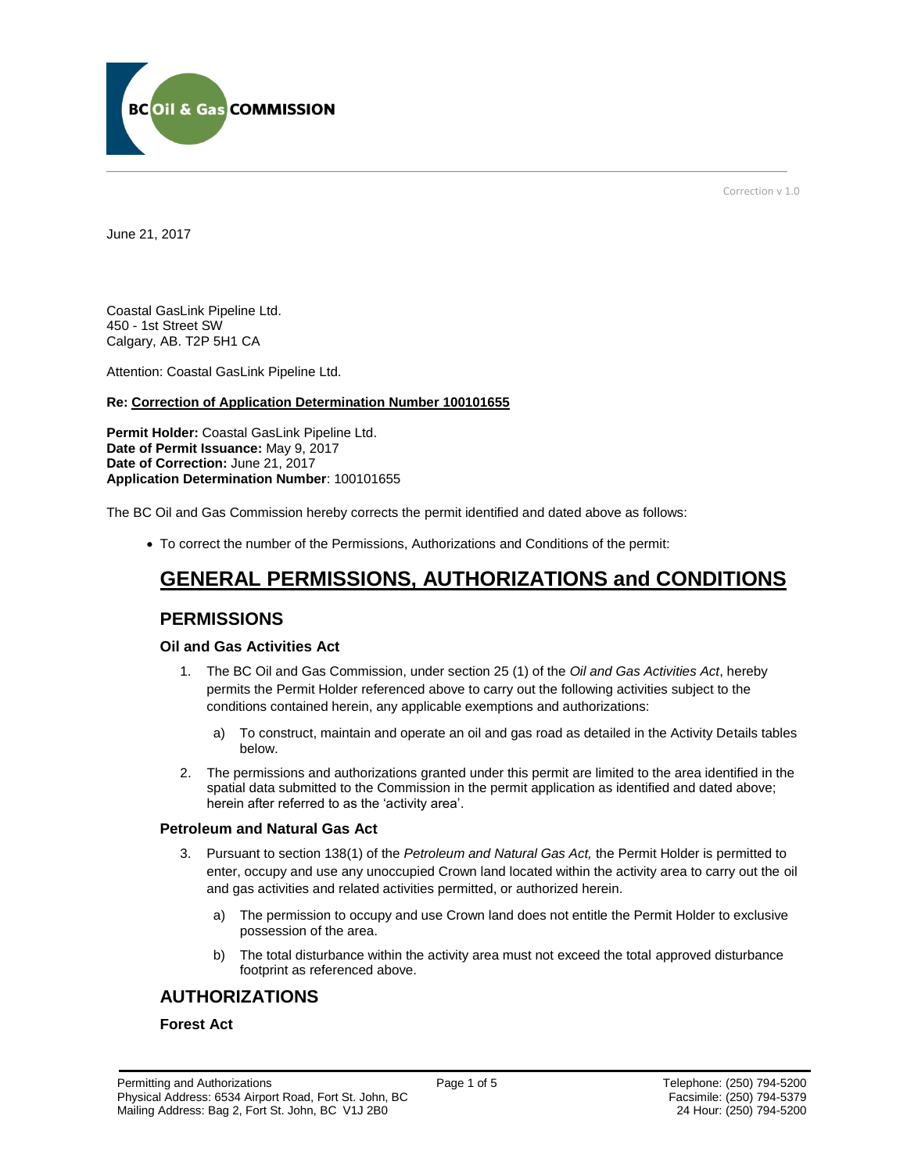

Correction v 1.0

June 21, 2017

Coastal GasLink Pipeline Ltd. 450 - 1st Street SW Calgary, AB. T2P 5H1 CA

[Attention:](file://///bcogc/shares/P&A%20Review%20&%20Determination/AMS%20PERMITS/AD100101663/100101663%20DRAFT%20PERMIT.docx%23permit_hoverhint) Coastal GasLink Pipeline Ltd.

### **Re: Correction of Application Determination Number 100101655**

**[Permit Holder:](#page-0-0)** Coastal GasLink Pipeline Ltd. **[Date of Permit Issuance:](#page-0-0)** May 9, 2017 **Date of Correction:** June 21, 2017 **[Application Determination Number](#page-0-0)**: 100101655

The BC Oil and Gas Commission hereby corrects the permit identified and dated above as follows:

To correct the number of the Permissions, Authorizations and Conditions of the permit:

# **GENERAL PERMISSIONS, AUTHORIZATIONS and CONDITIONS**

# **PERMISSIONS**

## **Oil and Gas Activities Act**

- <span id="page-0-0"></span>1. The BC Oil and Gas Commission, under section 25 (1) of the *Oil and Gas Activities Act*, hereby permits the Permit Holder referenced above to carry out the following activities subject to the conditions contained herein, any applicable exemptions and authorizations:
	- a) To construct, maintain and operate an oil and gas road as detailed in the Activity Details tables below.
- 2. The permissions and authorizations granted under this permit are limited to the area identified in the spatial data submitted to the Commission in the permit application as identified and dated above; herein after referred to as the 'activity area'.

#### **Petroleum and Natural Gas Act**

- 3. Pursuant to section 138(1) of the *Petroleum and Natural Gas Act,* the Permit Holder is permitted to enter, occupy and use any unoccupied Crown land located within the activity area to carry out the oil and gas activities and related activities permitted, or authorized herein.
	- a) The permission to occupy and use Crown land does not entitle the Permit Holder to exclusive possession of the area.
	- b) The total disturbance within the activity area must not exceed the total approved disturbance footprint as referenced above.

# **AUTHORIZATIONS**

## **Forest Act**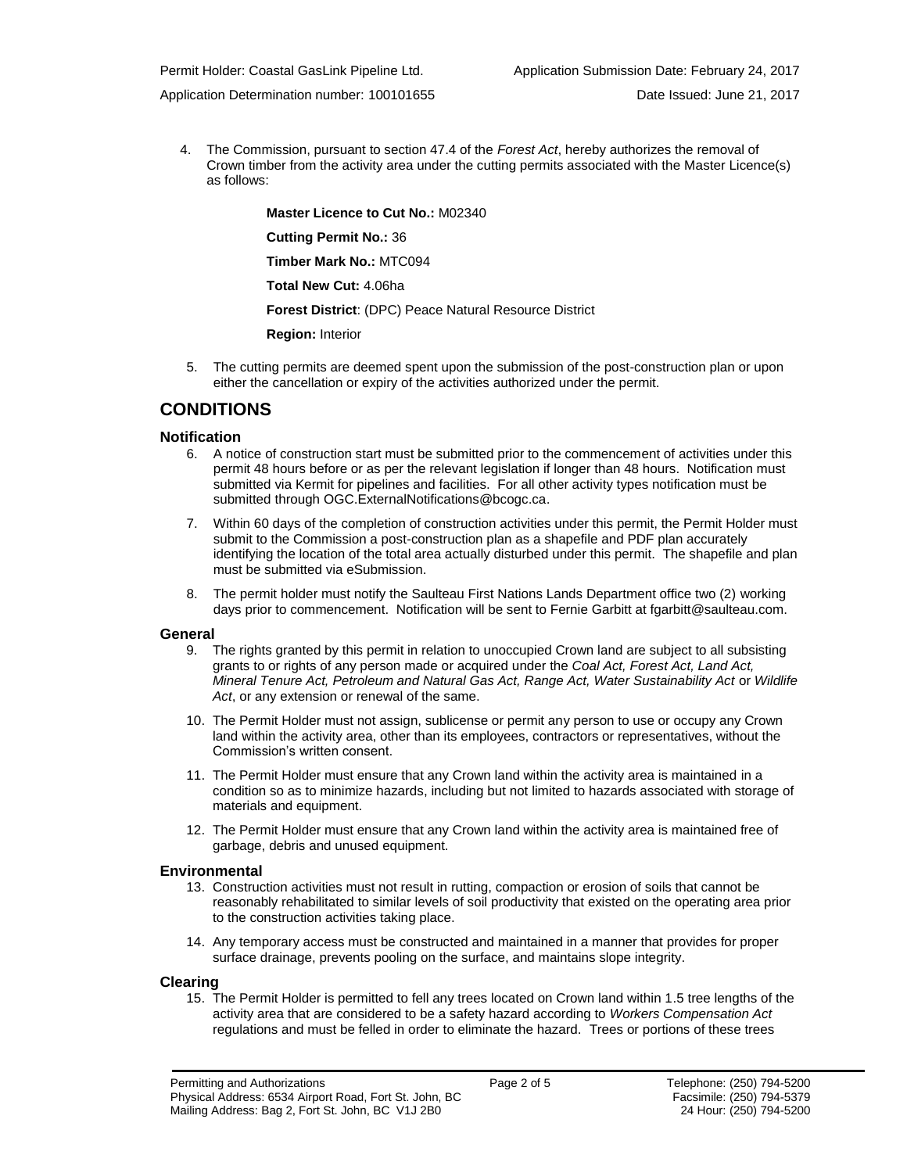Application Determination number: 100101655 Date Issued: June 21, 2017

4. The Commission, pursuant to section 47.4 of the *Forest Act*, hereby authorizes the removal of Crown timber from the activity area under the cutting permits associated with the Master Licence(s) as follows:

**[Master Licence to Cut No.:](#page-0-0)** M02340 **[Cutting Permit No.:](#page-0-0)** 36 **[Timber Mark No.:](#page-0-0)** MTC094 **[Total New Cut:](#page-0-0)** 4.06ha **[Forest District](https://ams-crd.bcogc.ca/crd/)**: (DPC) Peace Natural Resource District **Region:** Interior

5. The cutting permits are deemed spent upon the submission of the post-construction plan or upon either the cancellation or expiry of the activities authorized under the permit.

# **CONDITIONS**

## **Notification**

- 6. A notice of construction start must be submitted prior to the commencement of activities under this permit 48 hours before or as per the relevant legislation if longer than 48 hours. Notification must submitted via Kermit for pipelines and facilities. For all other activity types notification must be submitted throug[h OGC.ExternalNotifications@bcogc.ca.](mailto:OGC.ExternalNotifications@bcogc.ca)
- 7. Within 60 days of the completion of construction activities under this permit, the Permit Holder must submit to the Commission a post-construction plan as a shapefile and PDF plan accurately identifying the location of the total area actually disturbed under this permit. The shapefile and plan must be submitted via eSubmission.
- 8. The permit holder must notify the Saulteau First Nations Lands Department office two (2) working days prior to commencement. Notification will be sent to Fernie Garbitt at fgarbitt@saulteau.com.

#### **General**

- 9. The rights granted by this permit in relation to unoccupied Crown land are subject to all subsisting grants to or rights of any person made or acquired under the *Coal Act, Forest Act, Land Act, Mineral Tenure Act, Petroleum and Natural Gas Act, Range Act, Water Sustainability Act* or *Wildlife Act*, or any extension or renewal of the same.
- 10. The Permit Holder must not assign, sublicense or permit any person to use or occupy any Crown land within the activity area, other than its employees, contractors or representatives, without the Commission's written consent.
- 11. The Permit Holder must ensure that any Crown land within the activity area is maintained in a condition so as to minimize hazards, including but not limited to hazards associated with storage of materials and equipment.
- 12. The Permit Holder must ensure that any Crown land within the activity area is maintained free of garbage, debris and unused equipment.

## **Environmental**

- 13. Construction activities must not result in rutting, compaction or erosion of soils that cannot be reasonably rehabilitated to similar levels of soil productivity that existed on the operating area prior to the construction activities taking place.
- 14. Any temporary access must be constructed and maintained in a manner that provides for proper surface drainage, prevents pooling on the surface, and maintains slope integrity.

## **Clearing**

15. The Permit Holder is permitted to fell any trees located on Crown land within 1.5 tree lengths of the activity area that are considered to be a safety hazard according to *Workers Compensation Act* regulations and must be felled in order to eliminate the hazard. Trees or portions of these trees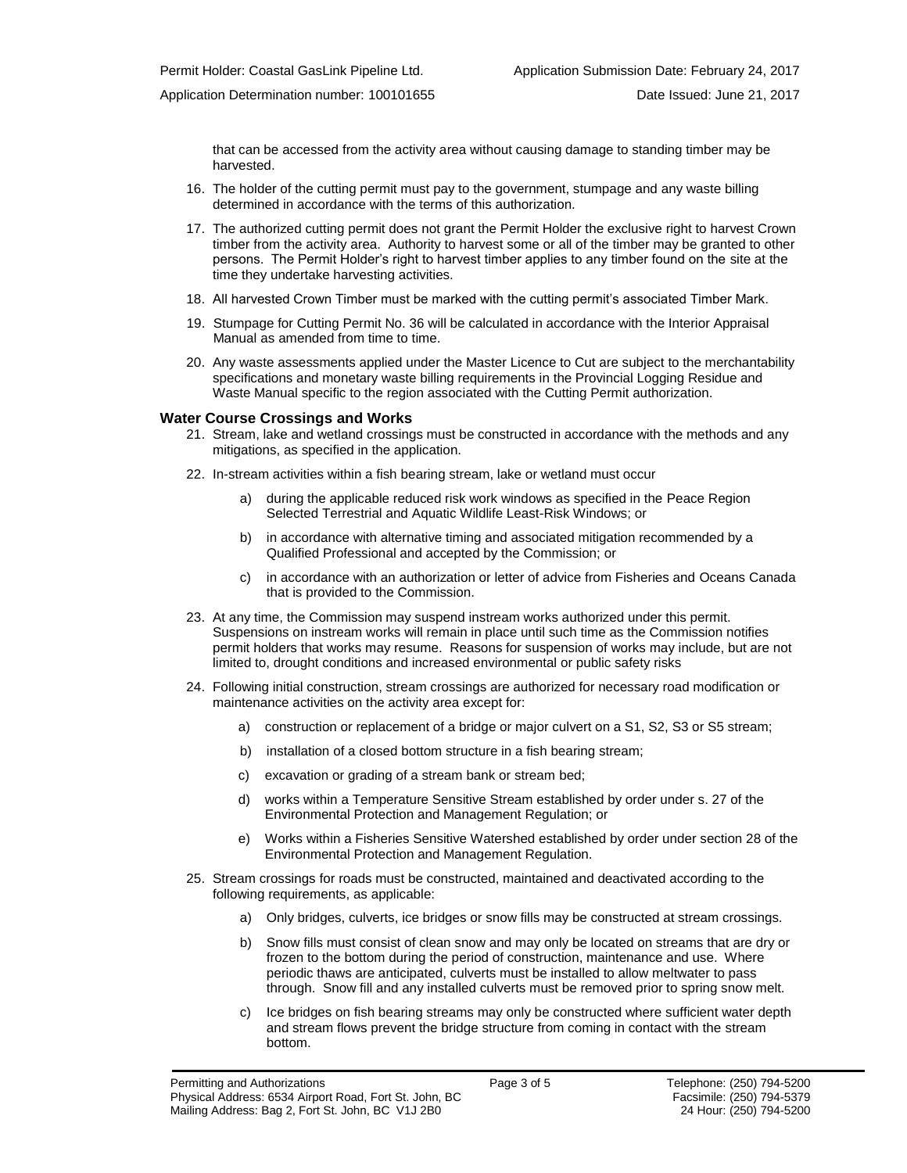that can be accessed from the activity area without causing damage to standing timber may be harvested.

- 16. The holder of the cutting permit must pay to the government, stumpage and any waste billing determined in accordance with the terms of this authorization.
- 17. The authorized cutting permit does not grant the Permit Holder the exclusive right to harvest Crown timber from the activity area. Authority to harvest some or all of the timber may be granted to other persons. The Permit Holder's right to harvest timber applies to any timber found on the site at the time they undertake harvesting activities.
- 18. All harvested Crown Timber must be marked with the cutting permit's associated Timber Mark.
- 19. Stumpage for Cutting Permit No. 36 will be calculated in accordance with the Interior Appraisal Manual as amended from time to time.
- 20. Any waste assessments applied under the Master Licence to Cut are subject to the merchantability specifications and monetary waste billing requirements in the Provincial Logging Residue and Waste Manual specific to the region associated with the Cutting Permit authorization.

#### **Water Course Crossings and Works**

- 21. Stream, lake and wetland crossings must be constructed in accordance with the methods and any mitigations, as specified in the application.
- 22. In-stream activities within a fish bearing stream, lake or wetland must occur
	- a) [during the applicable reduced risk work windows as specified in the](#page-0-0) Peace Region Selected Terrestrial and Aquatic Wildlife Least-Risk Windows; or
	- b) in accordance with alternative timing and associated mitigation recommended by a Qualified Professional and accepted by the Commission; or
	- c) in accordance with an authorization or letter of advice from Fisheries and Oceans Canada that is provided to the Commission.
- 23. At any time, the Commission may suspend instream works authorized under this permit. Suspensions on instream works will remain in place until such time as the Commission notifies permit holders that works may resume. Reasons for suspension of works may include, but are not limited to, drought conditions and increased environmental or public safety risks
- 24. Following initial construction, stream crossings are authorized for necessary road modification or maintenance activities on the activity area except for:
	- a) construction or replacement of a bridge or major culvert on a S1, S2, S3 or S5 stream;
	- b) installation of a closed bottom structure in a fish bearing stream;
	- c) excavation or grading of a stream bank or stream bed;
	- d) works within a Temperature Sensitive Stream established by order under s. 27 of the Environmental Protection and Management Regulation; or
	- e) Works within a Fisheries Sensitive Watershed established by order under section 28 of the Environmental Protection and Management Regulation.
- 25. Stream crossings for roads must be constructed, maintained and deactivated according to the following requirements, as applicable:
	- a) Only bridges, culverts, ice bridges or snow fills may be constructed at stream crossings.
	- b) Snow fills must consist of clean snow and may only be located on streams that are dry or frozen to the bottom during the period of construction, maintenance and use. Where periodic thaws are anticipated, culverts must be installed to allow meltwater to pass through. Snow fill and any installed culverts must be removed prior to spring snow melt.
	- c) Ice bridges on fish bearing streams may only be constructed where sufficient water depth and stream flows prevent the bridge structure from coming in contact with the stream bottom.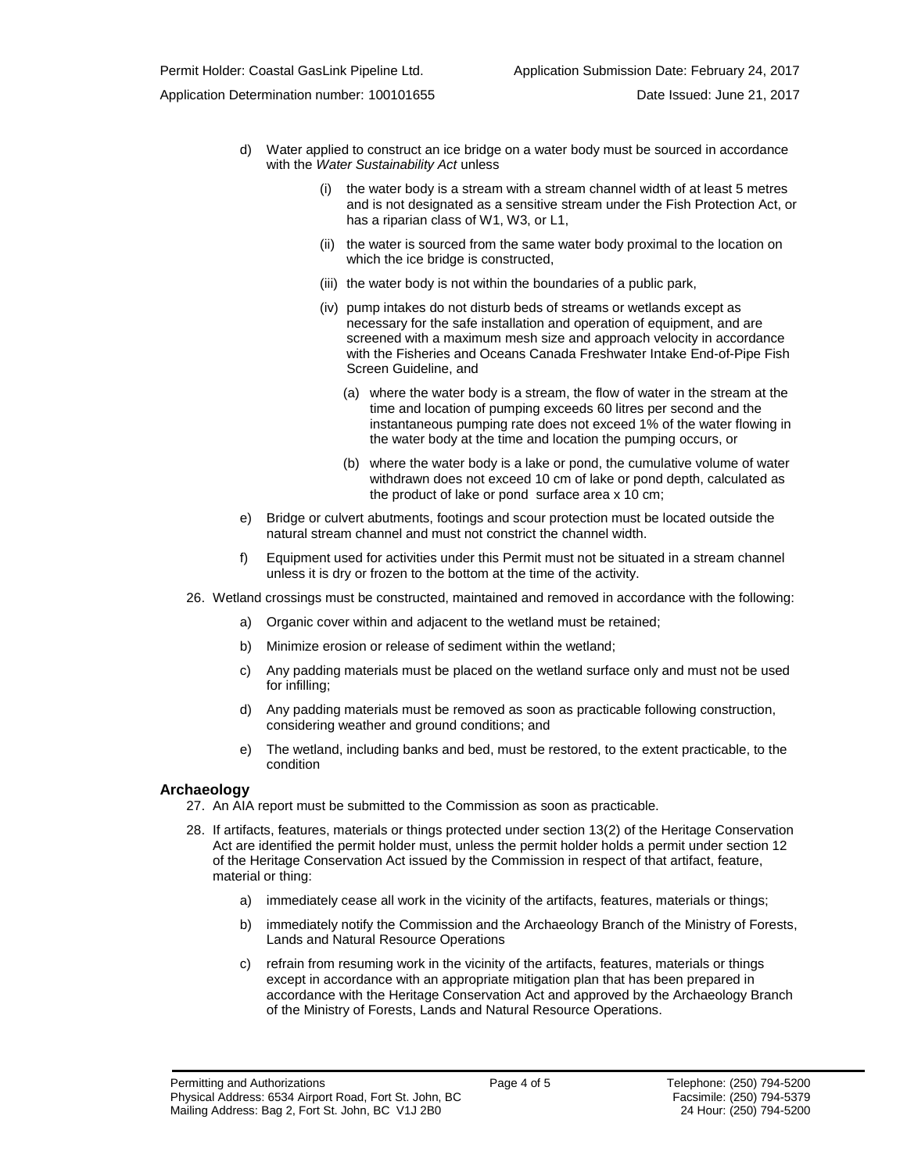Application Determination number: 100101655 Date Issued: June 21, 2017

- d) Water applied to construct an ice bridge on a water body must be sourced in accordance with the *Water Sustainability Act* unless
	- (i) the water body is a stream with a stream channel width of at least 5 metres and is not designated as a sensitive stream under the Fish Protection Act, or has a riparian class of W1, W3, or L1,
	- (ii) the water is sourced from the same water body proximal to the location on which the ice bridge is constructed,
	- (iii) the water body is not within the boundaries of a public park,
	- (iv) pump intakes do not disturb beds of streams or wetlands except as necessary for the safe installation and operation of equipment, and are screened with a maximum mesh size and approach velocity in accordance with the Fisheries and Oceans Canada Freshwater Intake End-of-Pipe Fish Screen Guideline, and
		- (a) where the water body is a stream, the flow of water in the stream at the time and location of pumping exceeds 60 litres per second and the instantaneous pumping rate does not exceed 1% of the water flowing in the water body at the time and location the pumping occurs, or
		- (b) where the water body is a lake or pond, the cumulative volume of water withdrawn does not exceed 10 cm of lake or pond depth, calculated as the product of lake or pond surface area x 10 cm;
- e) Bridge or culvert abutments, footings and scour protection must be located outside the natural stream channel and must not constrict the channel width.
- f) Equipment used for activities under this Permit must not be situated in a stream channel unless it is dry or frozen to the bottom at the time of the activity.
- 26. Wetland crossings must be constructed, maintained and removed in accordance with the following:
	- a) Organic cover within and adjacent to the wetland must be retained;
	- b) Minimize erosion or release of sediment within the wetland;
	- c) Any padding materials must be placed on the wetland surface only and must not be used for infilling;
	- d) Any padding materials must be removed as soon as practicable following construction, considering weather and ground conditions; and
	- e) The wetland, including banks and bed, must be restored, to the extent practicable, to the condition

#### **Archaeology**

- 27. An AIA report must be submitted to the Commission as soon as practicable.
- 28. If artifacts, features, materials or things protected under section 13(2) of the Heritage Conservation Act are identified the permit holder must, unless the permit holder holds a permit under section 12 of the Heritage Conservation Act issued by the Commission in respect of that artifact, feature, material or thing:
	- a) immediately cease all work in the vicinity of the artifacts, features, materials or things;
	- b) immediately notify the Commission and the Archaeology Branch of the Ministry of Forests, Lands and Natural Resource Operations
	- c) refrain from resuming work in the vicinity of the artifacts, features, materials or things except in accordance with an appropriate mitigation plan that has been prepared in accordance with the Heritage Conservation Act and approved by the Archaeology Branch of the Ministry of Forests, Lands and Natural Resource Operations.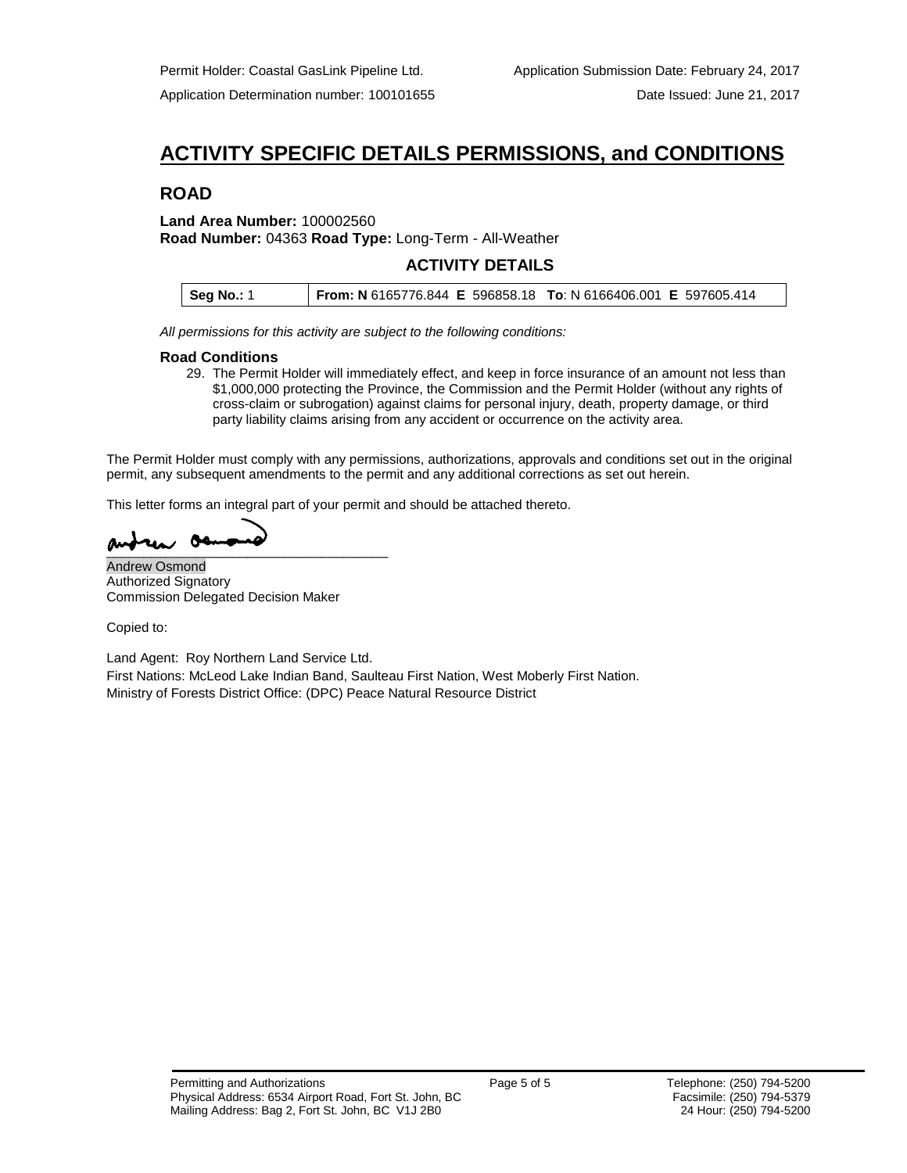# **ACTIVITY SPECIFIC DETAILS PERMISSIONS, and CONDITIONS**

# **ROAD**

## **Land Area Number:** 100002560 **Road Number:** 04363 **Road Type:** Long-Term - All-Weather

# **ACTIVITY DETAILS**

| <b>Seg No.: 1</b> | From: N 6165776.844 E 596858.18 To: N 6166406.001 E 597605.414 |  |
|-------------------|----------------------------------------------------------------|--|
|                   |                                                                |  |

*All permissions for this activity are subject to the following conditions:*

## **Road Conditions**

29. The Permit Holder will immediately effect, and keep in force insurance of an amount not less than \$1,000,000 protecting the Province, the Commission and the Permit Holder (without any rights of cross-claim or subrogation) against claims for personal injury, death, property damage, or third party liability claims arising from any accident or occurrence on the activity area.

The Permit Holder must comply with any permissions, authorizations, approvals and conditions set out in the original permit, any subsequent amendments to the permit and any additional corrections as set out herein.

This letter forms an integral part of your permit and should be attached thereto.

 $\overline{\phantom{a}}$ 

Andrew Osmond Authorized Signatory Commission Delegated Decision Maker

Copied to:

Land Agent: Roy Northern Land Service Ltd. First Nations: McLeod Lake Indian Band, Saulteau First Nation, West Moberly First Nation. Ministry of Forests District Office: (DPC) Peace Natural Resource District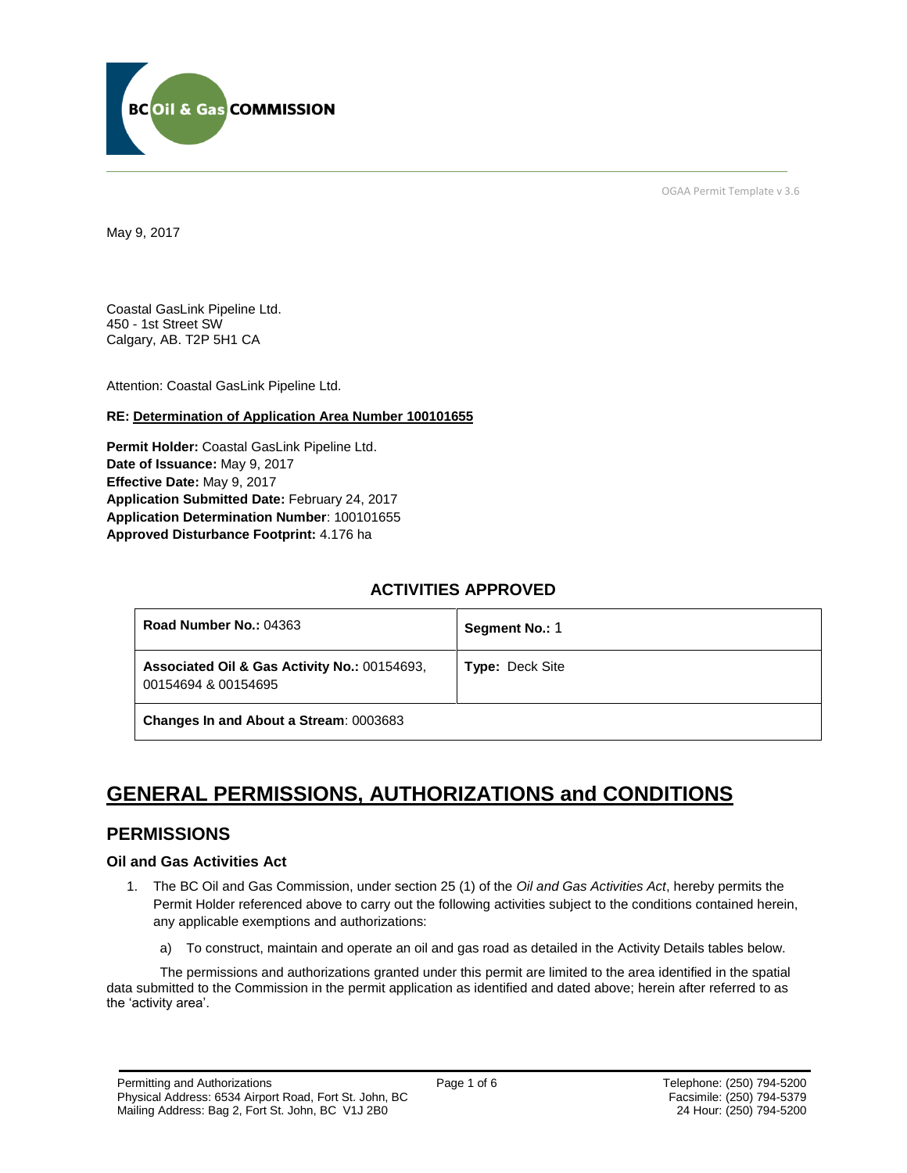

OGAA Permit Template v 3.6

May 9, 2017

Coastal GasLink Pipeline Ltd. 450 - 1st Street SW Calgary, AB. T2P 5H1 CA

[Attention:](file://///bcogc/shares/P&A%20Review%20&%20Determination/AMS%20PERMITS/AD100101663/100101663%20DRAFT%20PERMIT.docx%23permit_hoverhint) Coastal GasLink Pipeline Ltd.

## **RE: Determination of Application Area Number 100101655**

**[Permit Holder:](#page-5-0)** Coastal GasLink Pipeline Ltd. **[Date of Issuance:](#page-5-0)** May 9, 2017 **[Effective Date:](#page-5-1)** May 9, 2017 **[Application Submitted Date:](#page-5-0)** February 24, 2017 **[Application Determination Number](#page-5-0)**: 100101655 **Approved Disturbance Footprint:** 4.176 ha

# **ACTIVITIES APPROVED**

| Road Number No.: 04363                                              | Segment No.: 1         |
|---------------------------------------------------------------------|------------------------|
| Associated Oil & Gas Activity No.: 00154693.<br>00154694 & 00154695 | <b>Type: Deck Site</b> |
| Changes In and About a Stream: 0003683                              |                        |

# **GENERAL PERMISSIONS, AUTHORIZATIONS and CONDITIONS**

# **PERMISSIONS**

# **Oil and Gas Activities Act**

- <span id="page-5-0"></span>1. The BC Oil and Gas Commission, under section 25 (1) of the *Oil and Gas Activities Act*, hereby permits the Permit Holder referenced above to carry out the following activities subject to the conditions contained herein, any applicable exemptions and authorizations:
	- a) To construct, maintain and operate an oil and gas road as detailed in the Activity Details tables below.

<span id="page-5-1"></span>The permissions and authorizations granted under this permit are limited to the area identified in the spatial data submitted to the Commission in the permit application as identified and dated above; herein after referred to as the 'activity area'.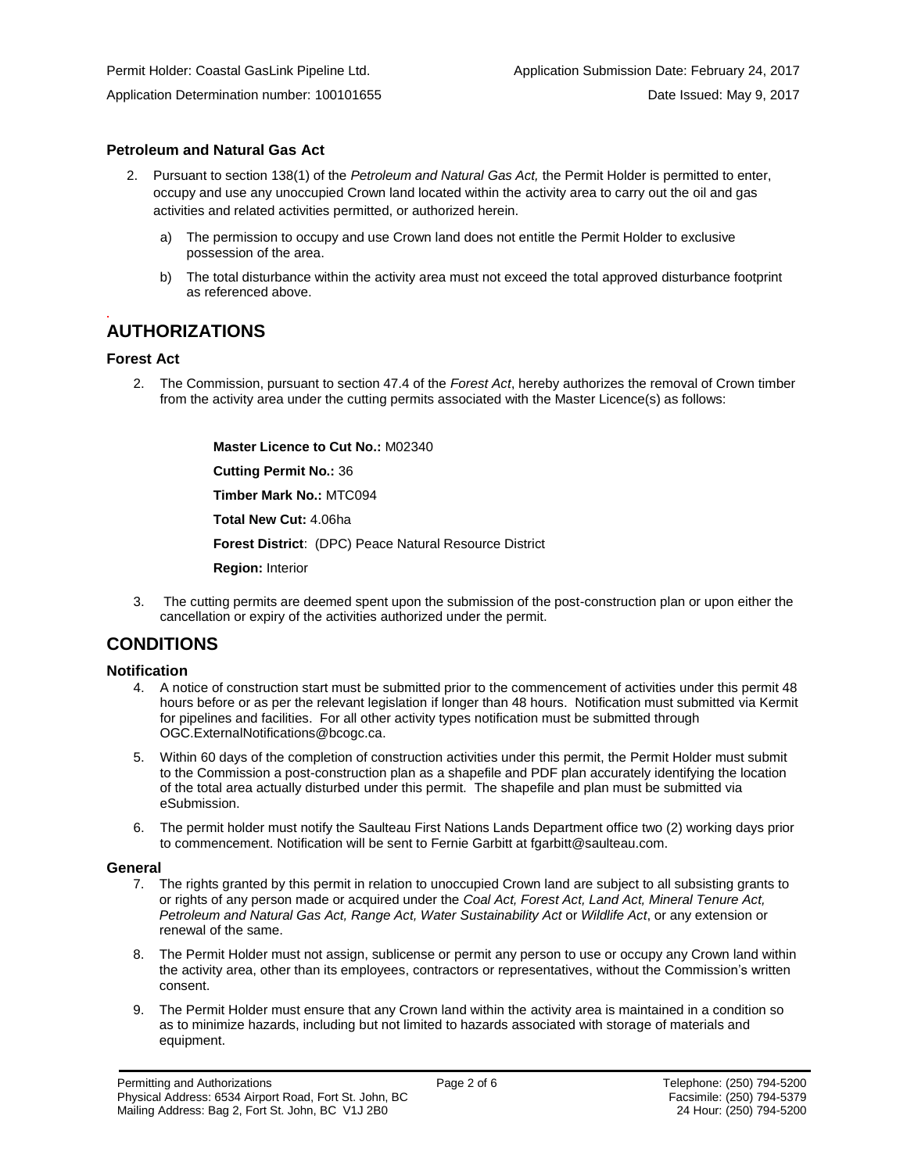# **Petroleum and Natural Gas Act**

- 2. Pursuant to section 138(1) of the *Petroleum and Natural Gas Act,* the Permit Holder is permitted to enter, occupy and use any unoccupied Crown land located within the activity area to carry out the oil and gas activities and related activities permitted, or authorized herein.
	- a) The permission to occupy and use Crown land does not entitle the Permit Holder to exclusive possession of the area.
	- b) The total disturbance within the activity area must not exceed the total approved disturbance footprint as referenced above.

# **AUTHORIZATIONS**

## **Forest Act**

**.**

2. The Commission, pursuant to section 47.4 of the *Forest Act*, hereby authorizes the removal of Crown timber from the activity area under the cutting permits associated with the Master Licence(s) as follows:

> **[Master Licence to Cut No.:](#page-5-0)** M02340 **[Cutting Permit No.:](#page-5-0)** 36

**[Timber Mark No.:](#page-5-0)** MTC094

**[Total New Cut:](#page-5-0)** 4.06ha

**[Forest District](https://ams-crd.bcogc.ca/crd/)**: (DPC) Peace Natural Resource District

**[Region:](#page-5-1)** Interior

3. The cutting permits are deemed spent upon the submission of the post-construction plan or upon either the cancellation or expiry of the activities authorized under the permit.

# **CONDITIONS**

# **Notification**

- 4. A notice of construction start must be submitted prior to the commencement of activities under this permit 48 hours before or as per the relevant legislation if longer than 48 hours. Notification must submitted via Kermit for pipelines and facilities. For all other activity types notification must be submitted through [OGC.ExternalNotifications@bcogc.ca.](mailto:OGC.ExternalNotifications@bcogc.ca)
- 5. Within 60 days of the completion of construction activities under this permit, the Permit Holder must submit to the Commission a post-construction plan as a shapefile and PDF plan accurately identifying the location of the total area actually disturbed under this permit. The shapefile and plan must be submitted via eSubmission.
- 6. The permit holder must notify the Saulteau First Nations Lands Department office two (2) working days prior to commencement. Notification will be sent to Fernie Garbitt at fgarbitt@saulteau.com.

## **General**

- 7. The rights granted by this permit in relation to unoccupied Crown land are subject to all subsisting grants to or rights of any person made or acquired under the *Coal Act, Forest Act, Land Act, Mineral Tenure Act, Petroleum and Natural Gas Act, Range Act, Water Sustainability Act* or *Wildlife Act*, or any extension or renewal of the same.
- 8. The Permit Holder must not assign, sublicense or permit any person to use or occupy any Crown land within the activity area, other than its employees, contractors or representatives, without the Commission's written consent.
- 9. The Permit Holder must ensure that any Crown land within the activity area is maintained in a condition so as to minimize hazards, including but not limited to hazards associated with storage of materials and equipment.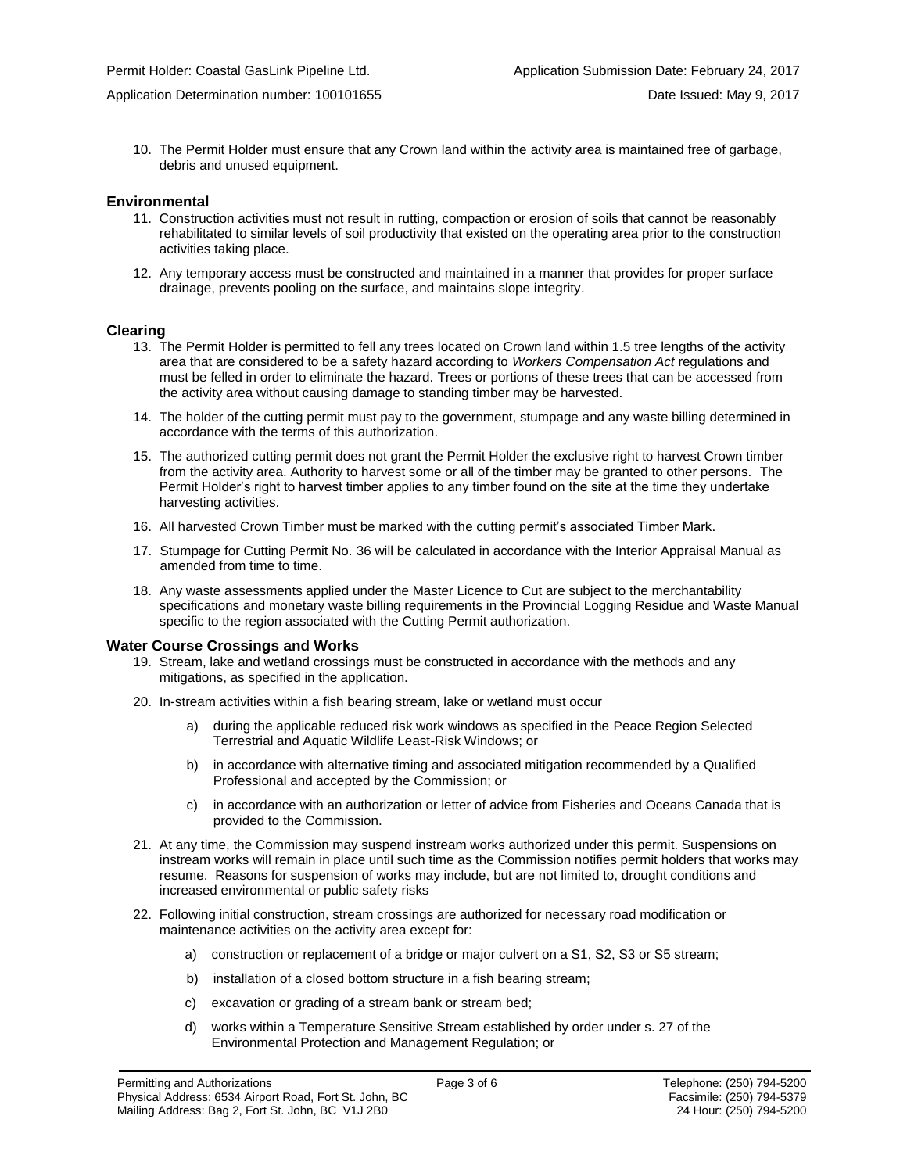10. The Permit Holder must ensure that any Crown land within the activity area is maintained free of garbage, debris and unused equipment.

### **Environmental**

- 11. Construction activities must not result in rutting, compaction or erosion of soils that cannot be reasonably rehabilitated to similar levels of soil productivity that existed on the operating area prior to the construction activities taking place.
- 12. Any temporary access must be constructed and maintained in a manner that provides for proper surface drainage, prevents pooling on the surface, and maintains slope integrity.

### **Clearing**

- 13. The Permit Holder is permitted to fell any trees located on Crown land within 1.5 tree lengths of the activity area that are considered to be a safety hazard according to *Workers Compensation Act* regulations and must be felled in order to eliminate the hazard. Trees or portions of these trees that can be accessed from the activity area without causing damage to standing timber may be harvested.
- 14. The holder of the cutting permit must pay to the government, stumpage and any waste billing determined in accordance with the terms of this authorization.
- 15. The authorized cutting permit does not grant the Permit Holder the exclusive right to harvest Crown timber from the activity area. Authority to harvest some or all of the timber may be granted to other persons. The Permit Holder's right to harvest timber applies to any timber found on the site at the time they undertake harvesting activities.
- 16. All harvested Crown Timber must be marked with the cutting permit's associated Timber Mark.
- 17. Stumpage for Cutting Permit No. 36 will be calculated in accordance with the Interior Appraisal Manual as amended from time to time.
- 18. Any waste assessments applied under the Master Licence to Cut are subject to the merchantability specifications and monetary waste billing requirements in the Provincial Logging Residue and Waste Manual specific to the region associated with the Cutting Permit authorization.

#### **Water Course Crossings and Works**

- 19. Stream, lake and wetland crossings must be constructed in accordance with the methods and any mitigations, as specified in the application.
- 20. In-stream activities within a fish bearing stream, lake or wetland must occur
	- a) [during the applicable reduced risk work windows as specified in the](#page-5-0) Peace Region Selected Terrestrial and Aquatic Wildlife Least-Risk Windows; or
	- b) in accordance with alternative timing and associated mitigation recommended by a Qualified Professional and accepted by the Commission; or
	- c) in accordance with an authorization or letter of advice from Fisheries and Oceans Canada that is provided to the Commission.
- 21. At any time, the Commission may suspend instream works authorized under this permit. Suspensions on instream works will remain in place until such time as the Commission notifies permit holders that works may resume. Reasons for suspension of works may include, but are not limited to, drought conditions and increased environmental or public safety risks
- 22. Following initial construction, stream crossings are authorized for necessary road modification or maintenance activities on the activity area except for:
	- a) construction or replacement of a bridge or major culvert on a S1, S2, S3 or S5 stream;
	- b) installation of a closed bottom structure in a fish bearing stream;
	- c) excavation or grading of a stream bank or stream bed;
	- d) works within a Temperature Sensitive Stream established by order under s. 27 of the Environmental Protection and Management Regulation; or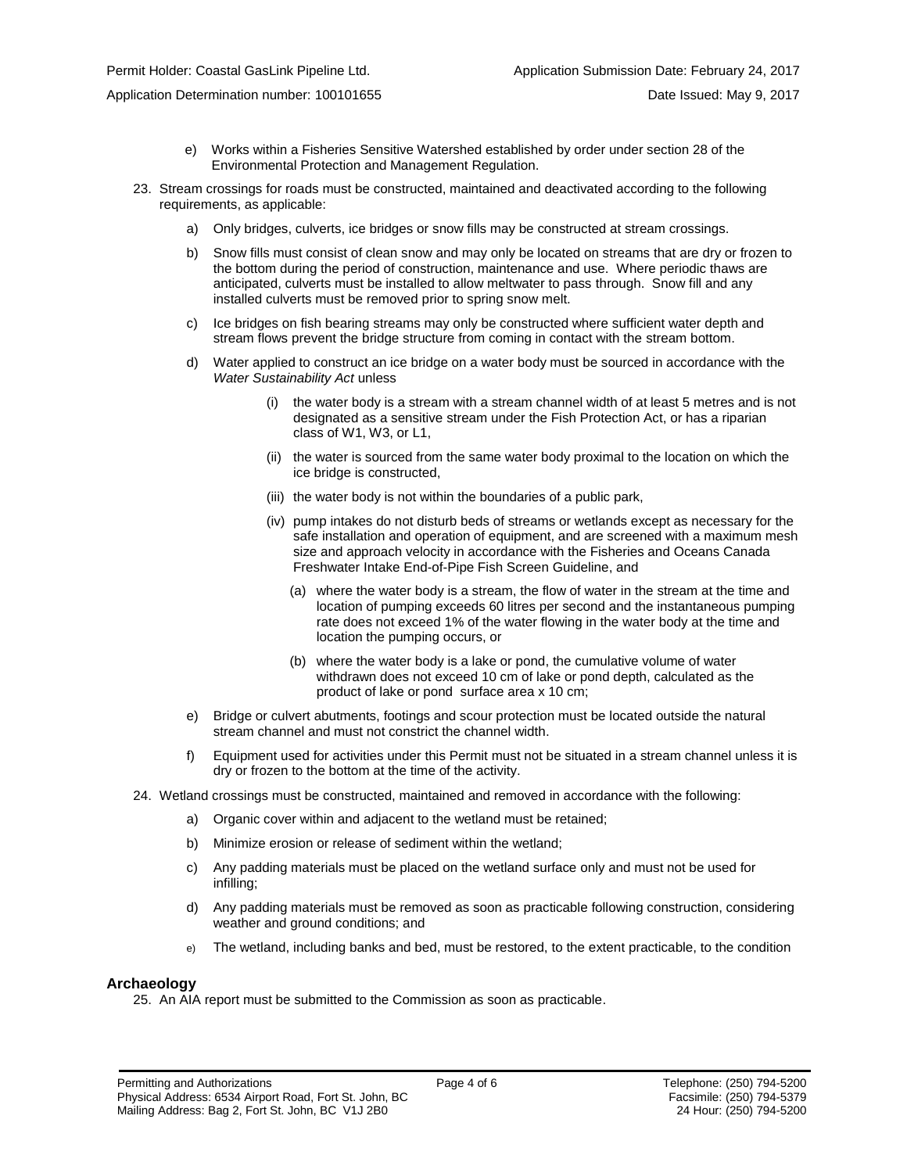Application Determination number: 100101655 Date Issued: May 9, 2017

- e) Works within a Fisheries Sensitive Watershed established by order under section 28 of the Environmental Protection and Management Regulation.
- 23. Stream crossings for roads must be constructed, maintained and deactivated according to the following requirements, as applicable:
	- a) Only bridges, culverts, ice bridges or snow fills may be constructed at stream crossings.
	- b) Snow fills must consist of clean snow and may only be located on streams that are dry or frozen to the bottom during the period of construction, maintenance and use. Where periodic thaws are anticipated, culverts must be installed to allow meltwater to pass through. Snow fill and any installed culverts must be removed prior to spring snow melt.
	- c) Ice bridges on fish bearing streams may only be constructed where sufficient water depth and stream flows prevent the bridge structure from coming in contact with the stream bottom.
	- d) Water applied to construct an ice bridge on a water body must be sourced in accordance with the *Water Sustainability Act* unless
		- (i) the water body is a stream with a stream channel width of at least 5 metres and is not designated as a sensitive stream under the Fish Protection Act, or has a riparian class of W1, W3, or L1,
		- (ii) the water is sourced from the same water body proximal to the location on which the ice bridge is constructed,
		- (iii) the water body is not within the boundaries of a public park,
		- (iv) pump intakes do not disturb beds of streams or wetlands except as necessary for the safe installation and operation of equipment, and are screened with a maximum mesh size and approach velocity in accordance with the Fisheries and Oceans Canada Freshwater Intake End-of-Pipe Fish Screen Guideline, and
			- (a) where the water body is a stream, the flow of water in the stream at the time and location of pumping exceeds 60 litres per second and the instantaneous pumping rate does not exceed 1% of the water flowing in the water body at the time and location the pumping occurs, or
			- (b) where the water body is a lake or pond, the cumulative volume of water withdrawn does not exceed 10 cm of lake or pond depth, calculated as the product of lake or pond surface area x 10 cm;
	- e) Bridge or culvert abutments, footings and scour protection must be located outside the natural stream channel and must not constrict the channel width.
	- f) Equipment used for activities under this Permit must not be situated in a stream channel unless it is dry or frozen to the bottom at the time of the activity.
- 24. Wetland crossings must be constructed, maintained and removed in accordance with the following:
	- a) Organic cover within and adjacent to the wetland must be retained;
	- b) Minimize erosion or release of sediment within the wetland;
	- c) Any padding materials must be placed on the wetland surface only and must not be used for infilling;
	- d) Any padding materials must be removed as soon as practicable following construction, considering weather and ground conditions; and
	- e) The wetland, including banks and bed, must be restored, to the extent practicable, to the condition

## **Archaeology**

25. An AIA report must be submitted to the Commission as soon as practicable.